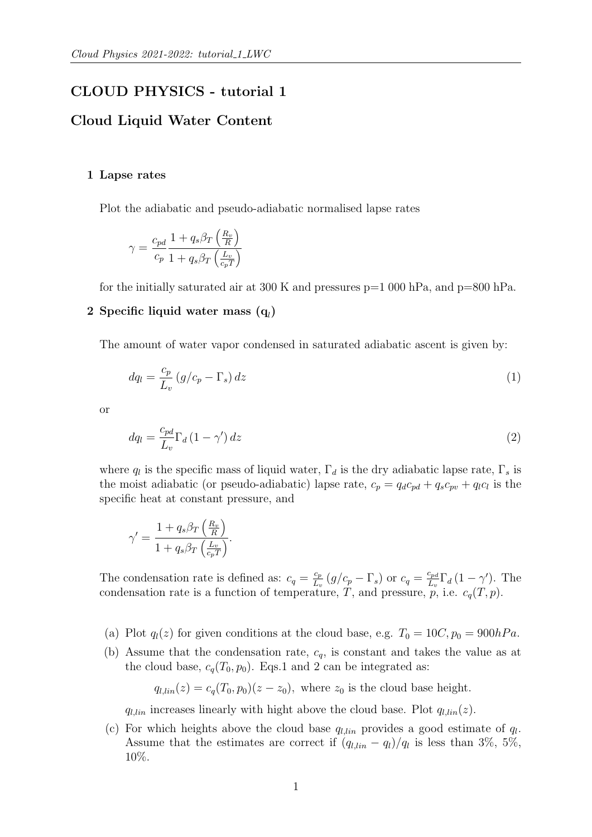# CLOUD PHYSICS - tutorial 1

## Cloud Liquid Water Content

#### 1 Lapse rates

Plot the adiabatic and pseudo-adiabatic normalised lapse rates

$$
\gamma = \frac{c_{pd}}{c_p} \frac{1 + q_s \beta_T \left(\frac{R_v}{R}\right)}{1 + q_s \beta_T \left(\frac{L_v}{c_p T}\right)}
$$

for the initially saturated air at 300 K and pressures  $p=1000$  hPa, and  $p=800$  hPa.

# $2$  Specific liquid water mass  $(\mathbf{q}_l)$

The amount of water vapor condensed in saturated adiabatic ascent is given by:

$$
dq_l = \frac{c_p}{L_v} \left( g/c_p - \Gamma_s \right) dz \tag{1}
$$

or

$$
dq_l = \frac{c_{pd}}{L_v} \Gamma_d \left(1 - \gamma'\right) dz \tag{2}
$$

where  $q_l$  is the specific mass of liquid water,  $\Gamma_d$  is the dry adiabatic lapse rate,  $\Gamma_s$  is the moist adiabatic (or pseudo-adiabatic) lapse rate,  $c_p = q_d c_{pd} + q_s c_{pv} + q_l c_l$  is the specific heat at constant pressure, and

$$
\gamma' = \frac{1 + q_s \beta_T \left(\frac{R_v}{R}\right)}{1 + q_s \beta_T \left(\frac{L_v}{c_p T}\right)}.
$$

The condensation rate is defined as:  $c_q = \frac{c_p}{L_q}$  $\frac{c_p}{L_v} (g/c_p - \Gamma_s)$  or  $c_q = \frac{c_{pd}}{L_v}$  $\frac{c_{pd}}{L_v} \Gamma_d (1 - \gamma')$ . The condensation rate is a function of temperature, T, and pressure,  $p$ , i.e.  $c_q(T, p)$ .

- (a) Plot  $q_l(z)$  for given conditions at the cloud base, e.g.  $T_0 = 10C, p_0 = 900hPa$ .
- (b) Assume that the condensation rate,  $c_q$ , is constant and takes the value as at the cloud base,  $c_q(T_0, p_0)$ . Eqs.1 and 2 can be integrated as:

 $q_{l,lin}(z) = c_q(T_0, p_0)(z - z_0)$ , where  $z_0$  is the cloud base height.

 $q_{l,lin}$  increases linearly with hight above the cloud base. Plot  $q_{l,lin}(z)$ .

(c) For which heights above the cloud base  $q_{l,lin}$  provides a good estimate of  $q_l$ . Assume that the estimates are correct if  $(q_{l,lin} - q_l)/q_l$  is less than 3%, 5%, 10%.